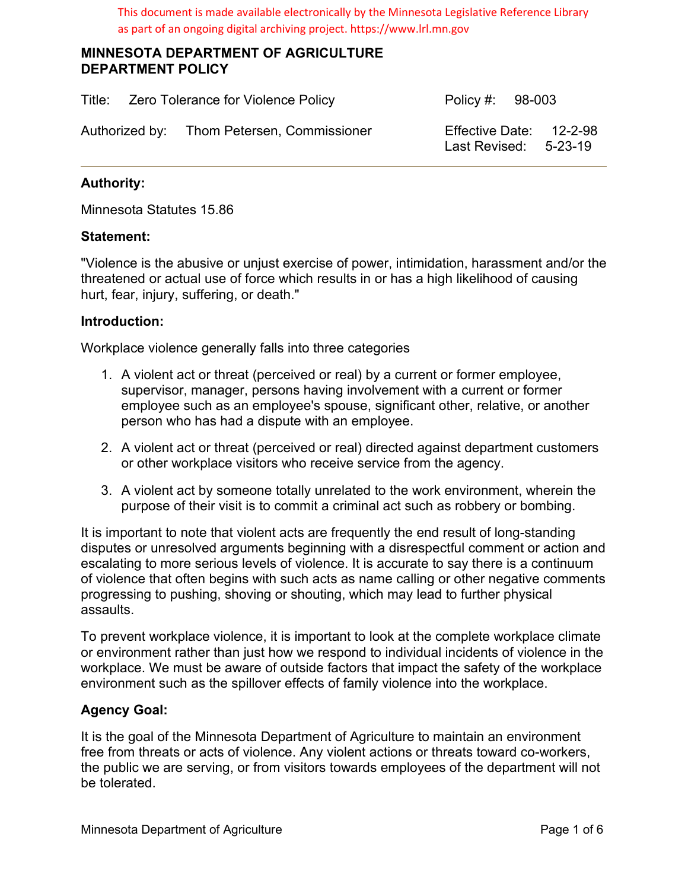This document is made available electronically by the Minnesota Legislative Reference Library as part of an ongoing digital archiving project. https://www.lrl.mn.gov

#### **MINNESOTA DEPARTMENT OF AGRICULTURE DEPARTMENT POLICY**

| Title: Zero Tolerance for Violence Policy |  |                                            | Policy #: 98-003 |                                                    |  |
|-------------------------------------------|--|--------------------------------------------|------------------|----------------------------------------------------|--|
|                                           |  | Authorized by: Thom Petersen, Commissioner |                  | Effective Date: 12-2-98<br>Last Revised: $5-23-19$ |  |

# **Authority:**

Minnesota Statutes 15.86

#### **Statement:**

"Violence is the abusive or unjust exercise of power, intimidation, harassment and/or the threatened or actual use of force which results in or has a high likelihood of causing hurt, fear, injury, suffering, or death."

#### **Introduction:**

Workplace violence generally falls into three categories

- 1. A violent act or threat (perceived or real) by a current or former employee, supervisor, manager, persons having involvement with a current or former employee such as an employee's spouse, significant other, relative, or another person who has had a dispute with an employee.
- 2. A violent act or threat (perceived or real) directed against department customers or other workplace visitors who receive service from the agency.
- 3. A violent act by someone totally unrelated to the work environment, wherein the purpose of their visit is to commit a criminal act such as robbery or bombing.

It is important to note that violent acts are frequently the end result of long-standing disputes or unresolved arguments beginning with a disrespectful comment or action and escalating to more serious levels of violence. It is accurate to say there is a continuum of violence that often begins with such acts as name calling or other negative comments progressing to pushing, shoving or shouting, which may lead to further physical assaults.

To prevent workplace violence, it is important to look at the complete workplace climate or environment rather than just how we respond to individual incidents of violence in the workplace. We must be aware of outside factors that impact the safety of the workplace environment such as the spillover effects of family violence into the workplace.

## **Agency Goal:**

It is the goal of the Minnesota Department of Agriculture to maintain an environment free from threats or acts of violence. Any violent actions or threats toward co-workers, the public we are serving, or from visitors towards employees of the department will not be tolerated.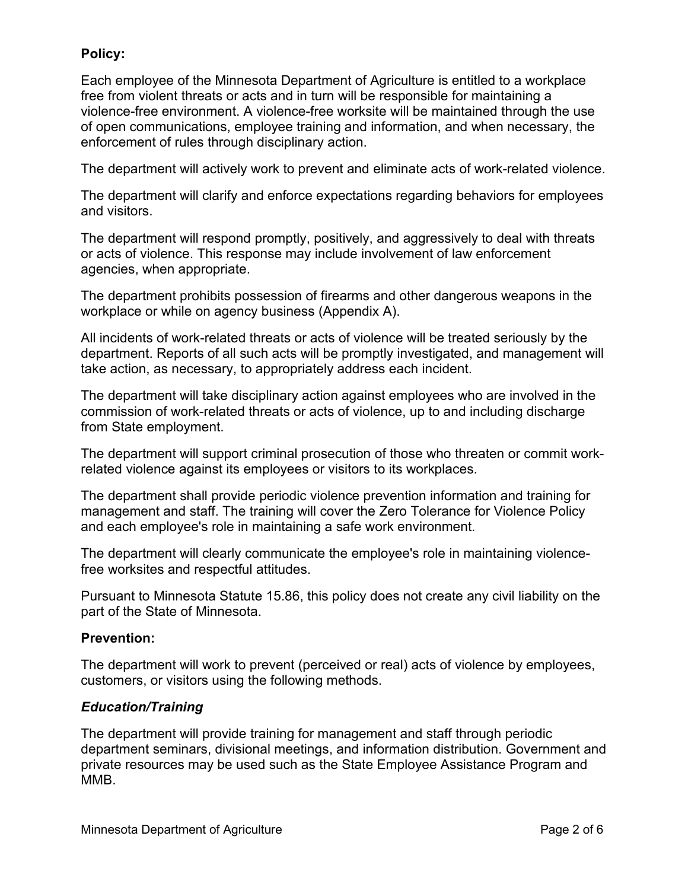# **Policy:**

Each employee of the Minnesota Department of Agriculture is entitled to a workplace free from violent threats or acts and in turn will be responsible for maintaining a violence-free environment. A violence-free worksite will be maintained through the use of open communications, employee training and information, and when necessary, the enforcement of rules through disciplinary action.

The department will actively work to prevent and eliminate acts of work-related violence.

The department will clarify and enforce expectations regarding behaviors for employees and visitors.

The department will respond promptly, positively, and aggressively to deal with threats or acts of violence. This response may include involvement of law enforcement agencies, when appropriate.

The department prohibits possession of firearms and other dangerous weapons in the workplace or while on agency business (Appendix A).

All incidents of work-related threats or acts of violence will be treated seriously by the department. Reports of all such acts will be promptly investigated, and management will take action, as necessary, to appropriately address each incident.

The department will take disciplinary action against employees who are involved in the commission of work-related threats or acts of violence, up to and including discharge from State employment.

The department will support criminal prosecution of those who threaten or commit workrelated violence against its employees or visitors to its workplaces.

The department shall provide periodic violence prevention information and training for management and staff. The training will cover the Zero Tolerance for Violence Policy and each employee's role in maintaining a safe work environment.

The department will clearly communicate the employee's role in maintaining violencefree worksites and respectful attitudes.

Pursuant to Minnesota Statute 15.86, this policy does not create any civil liability on the part of the State of Minnesota.

## **Prevention:**

The department will work to prevent (perceived or real) acts of violence by employees, customers, or visitors using the following methods.

## *Education/Training*

The department will provide training for management and staff through periodic department seminars, divisional meetings, and information distribution. Government and private resources may be used such as the State Employee Assistance Program and MMB.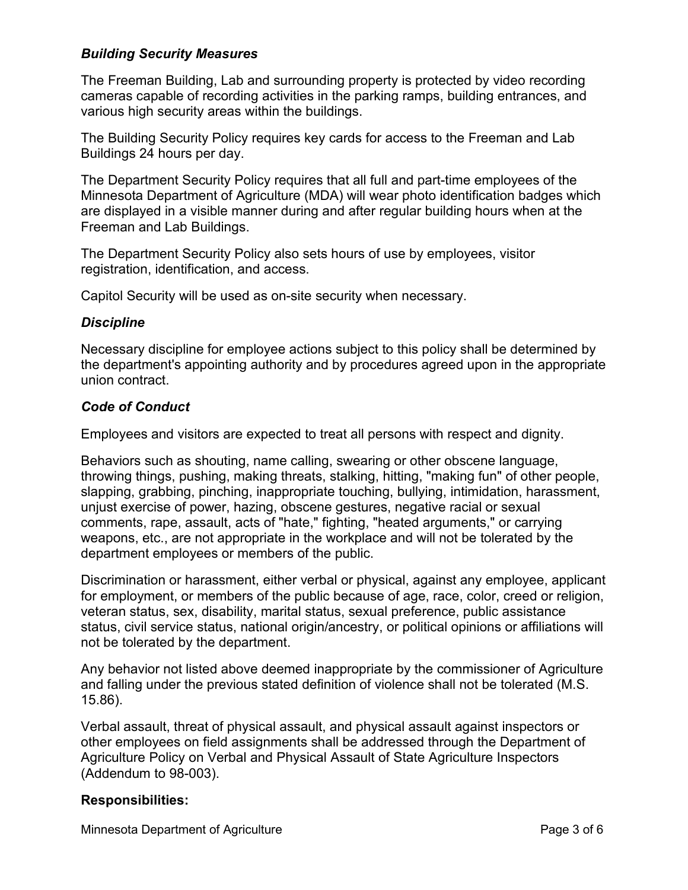# *Building Security Measures*

The Freeman Building, Lab and surrounding property is protected by video recording cameras capable of recording activities in the parking ramps, building entrances, and various high security areas within the buildings.

The Building Security Policy requires key cards for access to the Freeman and Lab Buildings 24 hours per day.

The Department Security Policy requires that all full and part-time employees of the Minnesota Department of Agriculture (MDA) will wear photo identification badges which are displayed in a visible manner during and after regular building hours when at the Freeman and Lab Buildings.

The Department Security Policy also sets hours of use by employees, visitor registration, identification, and access.

Capitol Security will be used as on-site security when necessary.

## *Discipline*

Necessary discipline for employee actions subject to this policy shall be determined by the department's appointing authority and by procedures agreed upon in the appropriate union contract.

## *Code of Conduct*

Employees and visitors are expected to treat all persons with respect and dignity.

Behaviors such as shouting, name calling, swearing or other obscene language, throwing things, pushing, making threats, stalking, hitting, "making fun" of other people, slapping, grabbing, pinching, inappropriate touching, bullying, intimidation, harassment, unjust exercise of power, hazing, obscene gestures, negative racial or sexual comments, rape, assault, acts of "hate," fighting, "heated arguments," or carrying weapons, etc., are not appropriate in the workplace and will not be tolerated by the department employees or members of the public.

Discrimination or harassment, either verbal or physical, against any employee, applicant for employment, or members of the public because of age, race, color, creed or religion, veteran status, sex, disability, marital status, sexual preference, public assistance status, civil service status, national origin/ancestry, or political opinions or affiliations will not be tolerated by the department.

Any behavior not listed above deemed inappropriate by the commissioner of Agriculture and falling under the previous stated definition of violence shall not be tolerated (M.S. 15.86).

Verbal assault, threat of physical assault, and physical assault against inspectors or other employees on field assignments shall be addressed through the Department of Agriculture Policy on Verbal and Physical Assault of State Agriculture Inspectors (Addendum to 98-003).

## **Responsibilities:**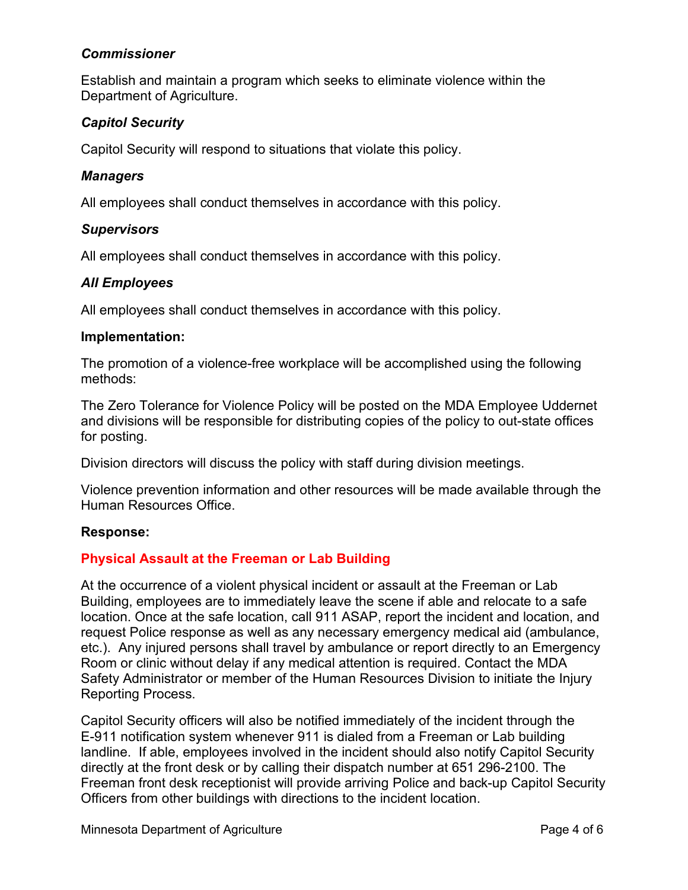## *Commissioner*

Establish and maintain a program which seeks to eliminate violence within the Department of Agriculture.

# *Capitol Security*

Capitol Security will respond to situations that violate this policy.

#### *Managers*

All employees shall conduct themselves in accordance with this policy.

#### *Supervisors*

All employees shall conduct themselves in accordance with this policy.

## *All Employees*

All employees shall conduct themselves in accordance with this policy.

#### **Implementation:**

The promotion of a violence-free workplace will be accomplished using the following methods:

The Zero Tolerance for Violence Policy will be posted on the MDA Employee Uddernet and divisions will be responsible for distributing copies of the policy to out-state offices for posting.

Division directors will discuss the policy with staff during division meetings.

Violence prevention information and other resources will be made available through the Human Resources Office.

#### **Response:**

## **Physical Assault at the Freeman or Lab Building**

At the occurrence of a violent physical incident or assault at the Freeman or Lab Building, employees are to immediately leave the scene if able and relocate to a safe location. Once at the safe location, call 911 ASAP, report the incident and location, and request Police response as well as any necessary emergency medical aid (ambulance, etc.). Any injured persons shall travel by ambulance or report directly to an Emergency Room or clinic without delay if any medical attention is required. Contact the MDA Safety Administrator or member of the Human Resources Division to initiate the Injury Reporting Process.

Capitol Security officers will also be notified immediately of the incident through the E-911 notification system whenever 911 is dialed from a Freeman or Lab building landline. If able, employees involved in the incident should also notify Capitol Security directly at the front desk or by calling their dispatch number at 651 296-2100. The Freeman front desk receptionist will provide arriving Police and back-up Capitol Security Officers from other buildings with directions to the incident location.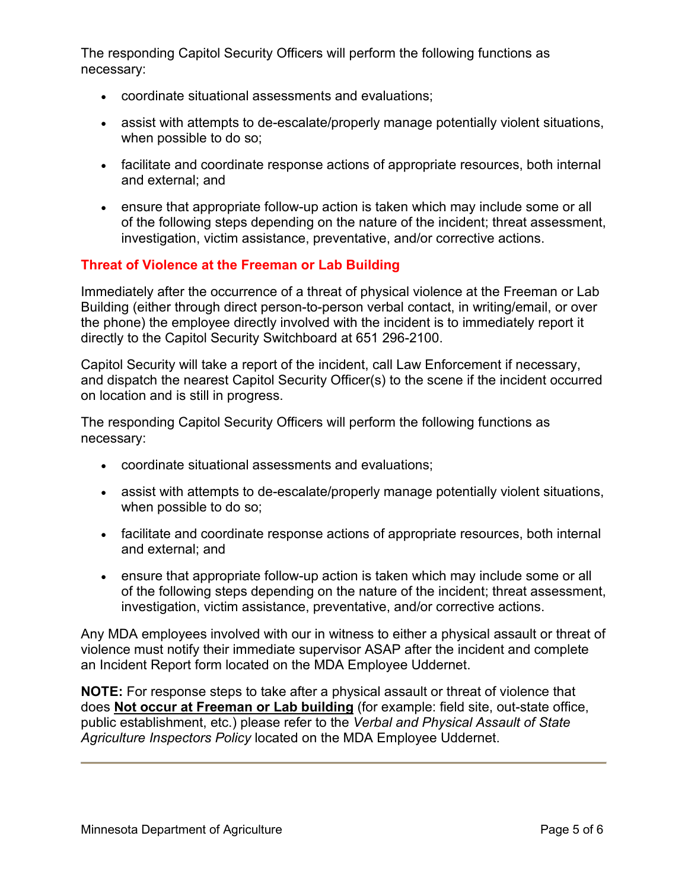The responding Capitol Security Officers will perform the following functions as necessary:

- coordinate situational assessments and evaluations;
- assist with attempts to de-escalate/properly manage potentially violent situations, when possible to do so;
- facilitate and coordinate response actions of appropriate resources, both internal and external; and
- ensure that appropriate follow-up action is taken which may include some or all of the following steps depending on the nature of the incident; threat assessment, investigation, victim assistance, preventative, and/or corrective actions.

# **Threat of Violence at the Freeman or Lab Building**

Immediately after the occurrence of a threat of physical violence at the Freeman or Lab Building (either through direct person-to-person verbal contact, in writing/email, or over the phone) the employee directly involved with the incident is to immediately report it directly to the Capitol Security Switchboard at 651 296-2100.

Capitol Security will take a report of the incident, call Law Enforcement if necessary, and dispatch the nearest Capitol Security Officer(s) to the scene if the incident occurred on location and is still in progress.

The responding Capitol Security Officers will perform the following functions as necessary:

- coordinate situational assessments and evaluations;
- assist with attempts to de-escalate/properly manage potentially violent situations, when possible to do so;
- facilitate and coordinate response actions of appropriate resources, both internal and external; and
- ensure that appropriate follow-up action is taken which may include some or all of the following steps depending on the nature of the incident; threat assessment, investigation, victim assistance, preventative, and/or corrective actions.

Any MDA employees involved with our in witness to either a physical assault or threat of violence must notify their immediate supervisor ASAP after the incident and complete an Incident Report form located on the MDA Employee Uddernet.

**NOTE:** For response steps to take after a physical assault or threat of violence that does **Not occur at Freeman or Lab building** (for example: field site, out-state office, public establishment, etc.) please refer to the *Verbal and Physical Assault of State Agriculture Inspectors Policy* located on the MDA Employee Uddernet.